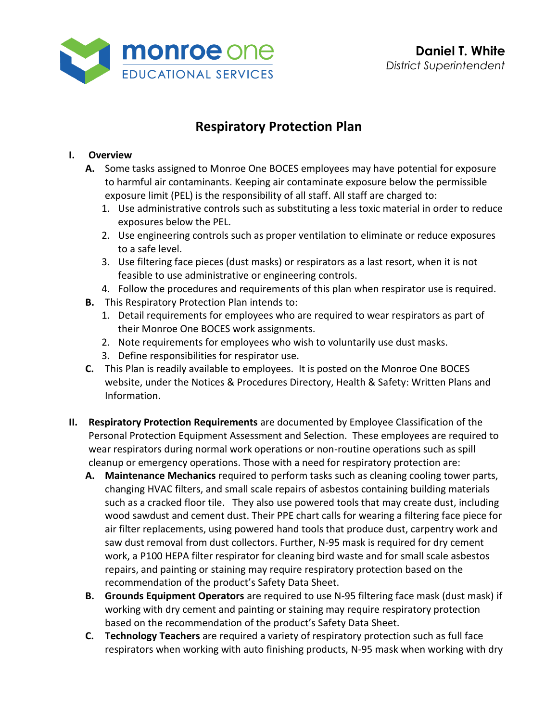

# **Respiratory Protection Plan**

### **I. Overview**

- **A.** Some tasks assigned to Monroe One BOCES employees may have potential for exposure to harmful air contaminants. Keeping air contaminate exposure below the permissible exposure limit (PEL) is the responsibility of all staff. All staff are charged to:
	- 1. Use administrative controls such as substituting a less toxic material in order to reduce exposures below the PEL.
	- 2. Use engineering controls such as proper ventilation to eliminate or reduce exposures to a safe level.
	- 3. Use filtering face pieces (dust masks) or respirators as a last resort, when it is not feasible to use administrative or engineering controls.
	- 4. Follow the procedures and requirements of this plan when respirator use is required.
- **B.** This Respiratory Protection Plan intends to:
	- 1. Detail requirements for employees who are required to wear respirators as part of their Monroe One BOCES work assignments.
	- 2. Note requirements for employees who wish to voluntarily use dust masks.
	- 3. Define responsibilities for respirator use.
- **C.** This Plan is readily available to employees. It is posted on the Monroe One BOCES website, under the Notices & Procedures Directory, Health & Safety: Written Plans and Information.
- **II. Respiratory Protection Requirements** are documented by Employee Classification of the Personal Protection Equipment Assessment and Selection. These employees are required to wear respirators during normal work operations or non-routine operations such as spill cleanup or emergency operations. Those with a need for respiratory protection are:
	- **A. Maintenance Mechanics** required to perform tasks such as cleaning cooling tower parts, changing HVAC filters, and small scale repairs of asbestos containing building materials such as a cracked floor tile. They also use powered tools that may create dust, including wood sawdust and cement dust. Their PPE chart calls for wearing a filtering face piece for air filter replacements, using powered hand tools that produce dust, carpentry work and saw dust removal from dust collectors. Further, N-95 mask is required for dry cement work, a P100 HEPA filter respirator for cleaning bird waste and for small scale asbestos repairs, and painting or staining may require respiratory protection based on the recommendation of the product's Safety Data Sheet.
	- **B. Grounds Equipment Operators** are required to use N-95 filtering face mask (dust mask) if working with dry cement and painting or staining may require respiratory protection based on the recommendation of the product's Safety Data Sheet.
	- **C. Technology Teachers** are required a variety of respiratory protection such as full face respirators when working with auto finishing products, N-95 mask when working with dry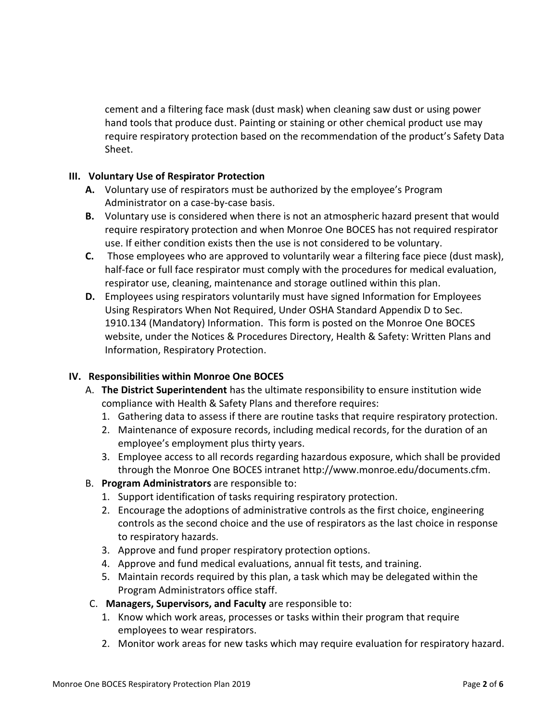cement and a filtering face mask (dust mask) when cleaning saw dust or using power hand tools that produce dust. Painting or staining or other chemical product use may require respiratory protection based on the recommendation of the product's Safety Data Sheet.

#### **III. Voluntary Use of Respirator Protection**

- **A.** Voluntary use of respirators must be authorized by the employee's Program Administrator on a case-by-case basis.
- **B.** Voluntary use is considered when there is not an atmospheric hazard present that would require respiratory protection and when Monroe One BOCES has not required respirator use. If either condition exists then the use is not considered to be voluntary.
- **C.** Those employees who are approved to voluntarily wear a filtering face piece (dust mask), half-face or full face respirator must comply with the procedures for medical evaluation, respirator use, cleaning, maintenance and storage outlined within this plan.
- **D.** Employees using respirators voluntarily must have signed Information for Employees Using Respirators When Not Required, Under OSHA Standard Appendix D to Sec. 1910.134 (Mandatory) Information. This form is posted on the Monroe One BOCES website, under the Notices & Procedures Directory, Health & Safety: Written Plans and Information, Respiratory Protection.

### **IV. Responsibilities within Monroe One BOCES**

- A. **The District Superintendent** has the ultimate responsibility to ensure institution wide compliance with Health & Safety Plans and therefore requires:
	- 1. Gathering data to assess if there are routine tasks that require respiratory protection.
	- 2. Maintenance of exposure records, including medical records, for the duration of an employee's employment plus thirty years.
	- 3. Employee access to all records regarding hazardous exposure, which shall be provided through the Monroe One BOCES intranet [http://www.monroe.edu/documents.cfm.](http://www.monroe.edu/documents.cfm)
- B. **Program Administrators** are responsible to:
	- 1. Support identification of tasks requiring respiratory protection.
	- 2. Encourage the adoptions of administrative controls as the first choice, engineering controls as the second choice and the use of respirators as the last choice in response to respiratory hazards.
	- 3. Approve and fund proper respiratory protection options.
	- 4. Approve and fund medical evaluations, annual fit tests, and training.
	- 5. Maintain records required by this plan, a task which may be delegated within the Program Administrators office staff.
- C. **Managers, Supervisors, and Faculty** are responsible to:
	- 1. Know which work areas, processes or tasks within their program that require employees to wear respirators.
	- 2. Monitor work areas for new tasks which may require evaluation for respiratory hazard.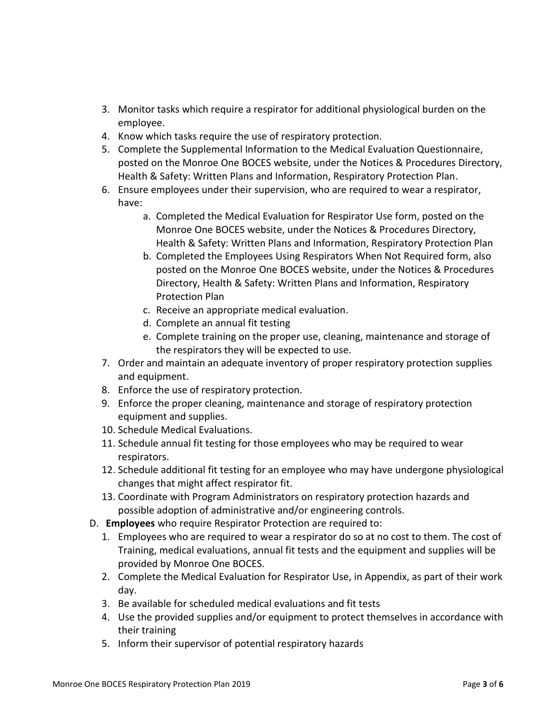- 3. Monitor tasks which require a respirator for additional physiological burden on the employee.
- 4. Know which tasks require the use of respiratory protection.
- 5. Complete the Supplemental Information to the Medical Evaluation Questionnaire, posted on the Monroe One BOCES website, under the Notices & Procedures Directory, Health & Safety: Written Plans and Information, Respiratory Protection Plan.
- 6. Ensure employees under their supervision, who are required to wear a respirator, have:
	- a. Completed the Medical Evaluation for Respirator Use form, posted on the Monroe One BOCES website, under the Notices & Procedures Directory, Health & Safety: Written Plans and Information, Respiratory Protection Plan
	- b. Completed the Employees Using Respirators When Not Required form, also posted on the Monroe One BOCES website, under the Notices & Procedures Directory, Health & Safety: Written Plans and Information, Respiratory Protection Plan
	- c. Receive an appropriate medical evaluation.
	- d. Complete an annual fit testing
	- e. Complete training on the proper use, cleaning, maintenance and storage of the respirators they will be expected to use.
- 7. Order and maintain an adequate inventory of proper respiratory protection supplies and equipment.
- 8. Enforce the use of respiratory protection.
- 9. Enforce the proper cleaning, maintenance and storage of respiratory protection equipment and supplies.
- 10. Schedule Medical Evaluations.
- 11. Schedule annual fit testing for those employees who may be required to wear respirators.
- 12. Schedule additional fit testing for an employee who may have undergone physiological changes that might affect respirator fit.
- 13. Coordinate with Program Administrators on respiratory protection hazards and possible adoption of administrative and/or engineering controls.
- D. **Employees** who require Respirator Protection are required to:
	- 1. Employees who are required to wear a respirator do so at no cost to them. The cost of Training, medical evaluations, annual fit tests and the equipment and supplies will be provided by Monroe One BOCES.
	- 2. Complete the Medical Evaluation for Respirator Use, in Appendix, as part of their work day.
	- 3. Be available for scheduled medical evaluations and fit tests
	- 4. Use the provided supplies and/or equipment to protect themselves in accordance with their training
	- 5. Inform their supervisor of potential respiratory hazards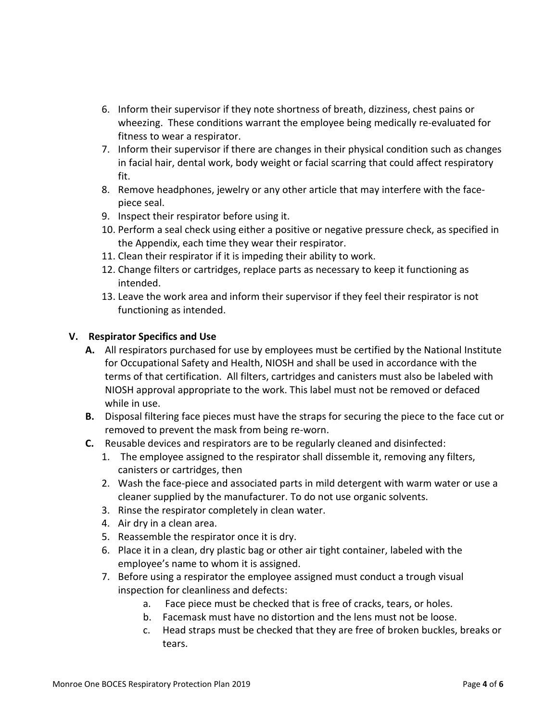- 6. Inform their supervisor if they note shortness of breath, dizziness, chest pains or wheezing. These conditions warrant the employee being medically re-evaluated for fitness to wear a respirator.
- 7. Inform their supervisor if there are changes in their physical condition such as changes in facial hair, dental work, body weight or facial scarring that could affect respiratory fit.
- 8. Remove headphones, jewelry or any other article that may interfere with the facepiece seal.
- 9. Inspect their respirator before using it.
- 10. Perform a seal check using either a positive or negative pressure check, as specified in the Appendix, each time they wear their respirator.
- 11. Clean their respirator if it is impeding their ability to work.
- 12. Change filters or cartridges, replace parts as necessary to keep it functioning as intended.
- 13. Leave the work area and inform their supervisor if they feel their respirator is not functioning as intended.

## **V. Respirator Specifics and Use**

- **A.** All respirators purchased for use by employees must be certified by the National Institute for Occupational Safety and Health, NIOSH and shall be used in accordance with the terms of that certification. All filters, cartridges and canisters must also be labeled with NIOSH approval appropriate to the work. This label must not be removed or defaced while in use.
- **B.** Disposal filtering face pieces must have the straps for securing the piece to the face cut or removed to prevent the mask from being re-worn.
- **C.** Reusable devices and respirators are to be regularly cleaned and disinfected:
	- 1. The employee assigned to the respirator shall dissemble it, removing any filters, canisters or cartridges, then
	- 2. Wash the face-piece and associated parts in mild detergent with warm water or use a cleaner supplied by the manufacturer. To do not use organic solvents.
	- 3. Rinse the respirator completely in clean water.
	- 4. Air dry in a clean area.
	- 5. Reassemble the respirator once it is dry.
	- 6. Place it in a clean, dry plastic bag or other air tight container, labeled with the employee's name to whom it is assigned.
	- 7. Before using a respirator the employee assigned must conduct a trough visual inspection for cleanliness and defects:
		- a. Face piece must be checked that is free of cracks, tears, or holes.
		- b. Facemask must have no distortion and the lens must not be loose.
		- c. Head straps must be checked that they are free of broken buckles, breaks or tears.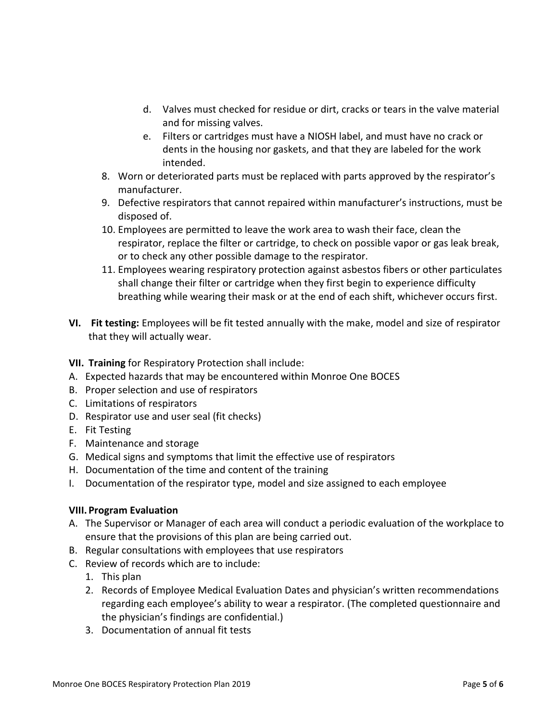- d. Valves must checked for residue or dirt, cracks or tears in the valve material and for missing valves.
- e. Filters or cartridges must have a NIOSH label, and must have no crack or dents in the housing nor gaskets, and that they are labeled for the work intended.
- 8. Worn or deteriorated parts must be replaced with parts approved by the respirator's manufacturer.
- 9. Defective respirators that cannot repaired within manufacturer's instructions, must be disposed of.
- 10. Employees are permitted to leave the work area to wash their face, clean the respirator, replace the filter or cartridge, to check on possible vapor or gas leak break, or to check any other possible damage to the respirator.
- 11. Employees wearing respiratory protection against asbestos fibers or other particulates shall change their filter or cartridge when they first begin to experience difficulty breathing while wearing their mask or at the end of each shift, whichever occurs first.
- **VI. Fit testing:** Employees will be fit tested annually with the make, model and size of respirator that they will actually wear.

## **VII. Training** for Respiratory Protection shall include:

- A. Expected hazards that may be encountered within Monroe One BOCES
- B. Proper selection and use of respirators
- C. Limitations of respirators
- D. Respirator use and user seal (fit checks)
- E. Fit Testing
- F. Maintenance and storage
- G. Medical signs and symptoms that limit the effective use of respirators
- H. Documentation of the time and content of the training
- I. Documentation of the respirator type, model and size assigned to each employee

### **VIII. Program Evaluation**

- A. The Supervisor or Manager of each area will conduct a periodic evaluation of the workplace to ensure that the provisions of this plan are being carried out.
- B. Regular consultations with employees that use respirators
- C. Review of records which are to include:
	- 1. This plan
	- 2. Records of Employee Medical Evaluation Dates and physician's written recommendations regarding each employee's ability to wear a respirator. (The completed questionnaire and the physician's findings are confidential.)
	- 3. Documentation of annual fit tests